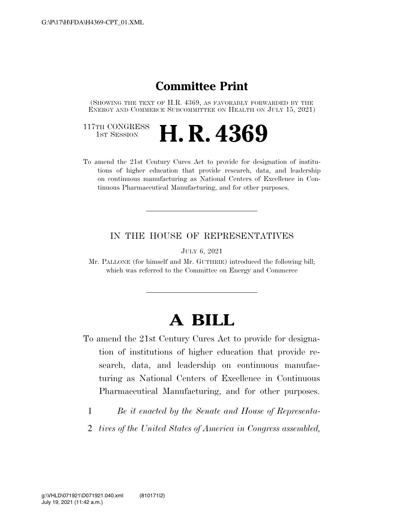### **Committee Print**

(SHOWING THE TEXT OF H.R. 4369, AS FAVORABLY FORWARDED BY THE ENERGY AND COMMERCE SUBCOMMITTEE ON HEALTH ON JULY 15, 2021)

117TH CONGRESS<br>1st Session

# **H. R. 4369**

To amend the 21st Century Cures Act to provide for designation of institutions of higher education that provide research, data, and leadership on continuous manufacturing as National Centers of Excellence in Continuous Pharmaceutical Manufacturing, and for other purposes.

#### IN THE HOUSE OF REPRESENTATIVES

JULY 6, 2021

Mr. PALLONE (for himself and Mr. GUTHRIE) introduced the following bill; which was referred to the Committee on Energy and Commerce

## **A BILL**

- To amend the 21st Century Cures Act to provide for designation of institutions of higher education that provide research, data, and leadership on continuous manufacturing as National Centers of Excellence in Continuous Pharmaceutical Manufacturing, and for other purposes.
	- 1 *Be it enacted by the Senate and House of Representa-*
	- 2 *tives of the United States of America in Congress assembled,*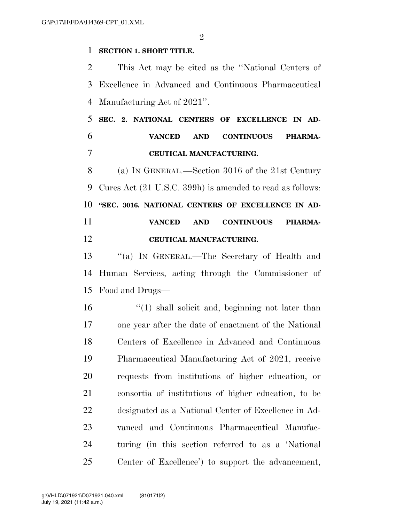$\mathfrak{D}$ 

#### **SECTION 1. SHORT TITLE.**

 This Act may be cited as the ''National Centers of Excellence in Advanced and Continuous Pharmaceutical Manufacturing Act of 2021''.

### **SEC. 2. NATIONAL CENTERS OF EXCELLENCE IN AD- VANCED AND CONTINUOUS PHARMA-CEUTICAL MANUFACTURING.**

 (a) IN GENERAL.—Section 3016 of the 21st Century Cures Act (21 U.S.C. 399h) is amended to read as follows: **''SEC. 3016. NATIONAL CENTERS OF EXCELLENCE IN AD- VANCED AND CONTINUOUS PHARMA-CEUTICAL MANUFACTURING.** 

 ''(a) IN GENERAL.—The Secretary of Health and Human Services, acting through the Commissioner of Food and Drugs—

16 ''(1) shall solicit and, beginning not later than one year after the date of enactment of the National Centers of Excellence in Advanced and Continuous Pharmaceutical Manufacturing Act of 2021, receive requests from institutions of higher education, or consortia of institutions of higher education, to be designated as a National Center of Excellence in Ad- vanced and Continuous Pharmaceutical Manufac- turing (in this section referred to as a 'National Center of Excellence') to support the advancement,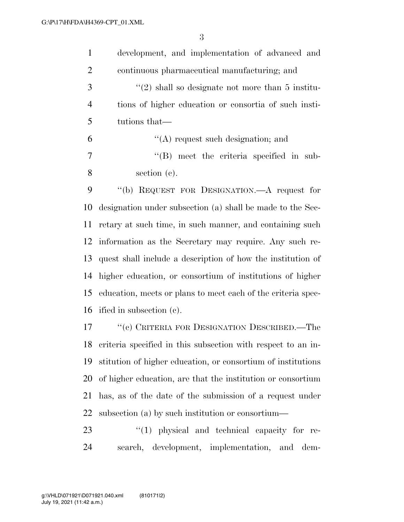| $\mathbf{1}$   | development, and implementation of advanced and       |
|----------------|-------------------------------------------------------|
| 2              | continuous pharmaceutical manufacturing; and          |
| 3              | $\lq(2)$ shall so designate not more than 5 institu-  |
| $\overline{4}$ | tions of higher education or consortia of such insti- |
| 5              | tutions that—                                         |
| 6              | $\lq\lq$ request such designation; and                |
| $\overline{7}$ | $\lq\lq$ (B) meet the criteria specified in sub-      |
| 8              | section $(c)$ .                                       |
| 9              | "(b) REQUEST FOR DESIGNATION.—A request for           |
|                |                                                       |

 designation under subsection (a) shall be made to the Sec- retary at such time, in such manner, and containing such information as the Secretary may require. Any such re- quest shall include a description of how the institution of higher education, or consortium of institutions of higher education, meets or plans to meet each of the criteria spec-ified in subsection (c).

 ''(c) CRITERIA FOR DESIGNATION DESCRIBED.—The criteria specified in this subsection with respect to an in- stitution of higher education, or consortium of institutions of higher education, are that the institution or consortium has, as of the date of the submission of a request under subsection (a) by such institution or consortium—

23  $\frac{1}{2}$  (1) physical and technical capacity for re-search, development, implementation, and dem-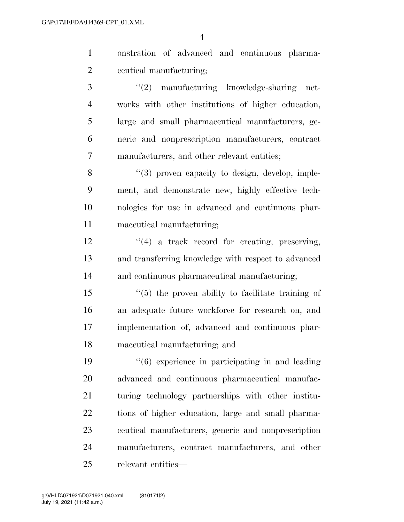onstration of advanced and continuous pharma-ceutical manufacturing;

3 ''(2) manufacturing knowledge-sharing net- works with other institutions of higher education, large and small pharmaceutical manufacturers, ge- neric and nonprescription manufacturers, contract manufacturers, and other relevant entities;

8 "(3) proven capacity to design, develop, imple- ment, and demonstrate new, highly effective tech- nologies for use in advanced and continuous phar-maceutical manufacturing;

12 ''(4) a track record for creating, preserving, and transferring knowledge with respect to advanced and continuous pharmaceutical manufacturing;

 ''(5) the proven ability to facilitate training of an adequate future workforce for research on, and implementation of, advanced and continuous phar-maceutical manufacturing; and

 ''(6) experience in participating in and leading advanced and continuous pharmaceutical manufac- turing technology partnerships with other institu- tions of higher education, large and small pharma- ceutical manufacturers, generic and nonprescription manufacturers, contract manufacturers, and other relevant entities—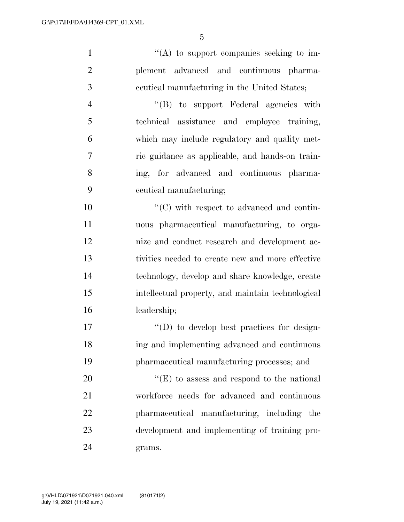''(A) to support companies seeking to im- plement advanced and continuous pharma-ceutical manufacturing in the United States;

 ''(B) to support Federal agencies with technical assistance and employee training, which may include regulatory and quality met- ric guidance as applicable, and hands-on train- ing, for advanced and continuous pharma-ceutical manufacturing;

 $\cdot$  (C) with respect to advanced and contin- uous pharmaceutical manufacturing, to orga- nize and conduct research and development ac- tivities needed to create new and more effective technology, develop and share knowledge, create intellectual property, and maintain technological leadership;

17  $\langle \text{`}(D) \rangle$  to develop best practices for design- ing and implementing advanced and continuous pharmaceutical manufacturing processes; and

 $"({\rm E})$  to assess and respond to the national workforce needs for advanced and continuous pharmaceutical manufacturing, including the development and implementing of training pro-grams.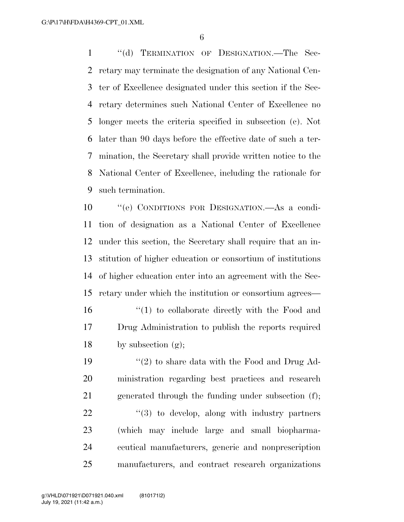1 "(d) TERMINATION OF DESIGNATION.—The Sec- retary may terminate the designation of any National Cen- ter of Excellence designated under this section if the Sec- retary determines such National Center of Excellence no longer meets the criteria specified in subsection (c). Not later than 90 days before the effective date of such a ter- mination, the Secretary shall provide written notice to the National Center of Excellence, including the rationale for such termination.

 ''(e) CONDITIONS FOR DESIGNATION.—As a condi- tion of designation as a National Center of Excellence under this section, the Secretary shall require that an in- stitution of higher education or consortium of institutions of higher education enter into an agreement with the Sec-retary under which the institution or consortium agrees—

16 ''(1) to collaborate directly with the Food and Drug Administration to publish the reports required 18 by subsection  $(g)$ ;

 $\frac{1}{2}$  to share data with the Food and Drug Ad- ministration regarding best practices and research generated through the funding under subsection (f); "(3) to develop, along with industry partners (which may include large and small biopharma- ceutical manufacturers, generic and nonprescription manufacturers, and contract research organizations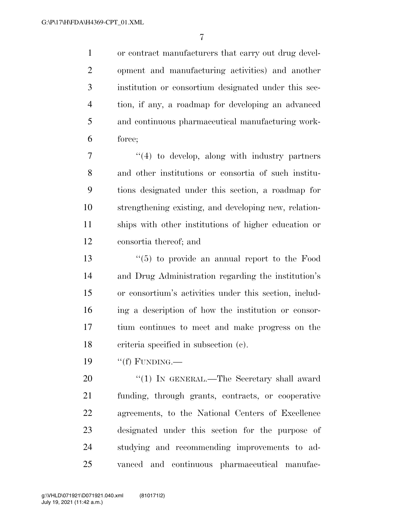or contract manufacturers that carry out drug devel- opment and manufacturing activities) and another institution or consortium designated under this sec- tion, if any, a roadmap for developing an advanced and continuous pharmaceutical manufacturing work-force;

 ''(4) to develop, along with industry partners and other institutions or consortia of such institu- tions designated under this section, a roadmap for strengthening existing, and developing new, relation- ships with other institutions of higher education or consortia thereof; and

 ''(5) to provide an annual report to the Food and Drug Administration regarding the institution's or consortium's activities under this section, includ- ing a description of how the institution or consor- tium continues to meet and make progress on the criteria specified in subsection (c).

19  $\cdot$  (f) FUNDING.

20 "(1) IN GENERAL.—The Secretary shall award funding, through grants, contracts, or cooperative agreements, to the National Centers of Excellence designated under this section for the purpose of studying and recommending improvements to ad-vanced and continuous pharmaceutical manufac-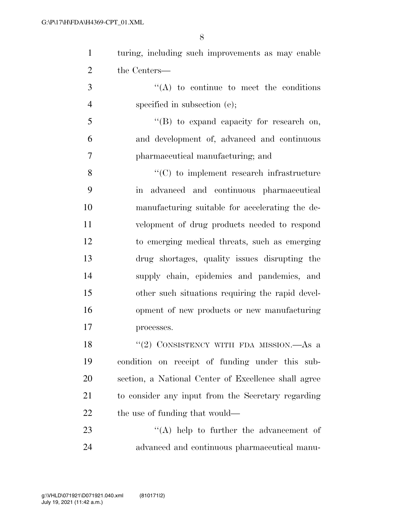|   | turing, including such improvements as may enable |
|---|---------------------------------------------------|
| 2 | the Centers—                                      |
|   | $\lq\lq$ to continue to meet the conditions       |

- 4 specified in subsection (e);
- ''(B) to expand capacity for research on, and development of, advanced and continuous pharmaceutical manufacturing; and

8 ''(C) to implement research infrastructure in advanced and continuous pharmaceutical manufacturing suitable for accelerating the de- velopment of drug products needed to respond to emerging medical threats, such as emerging drug shortages, quality issues disrupting the supply chain, epidemics and pandemics, and other such situations requiring the rapid devel- opment of new products or new manufacturing processes.

18 "(2) CONSISTENCY WITH FDA MISSION.—As a condition on receipt of funding under this sub- section, a National Center of Excellence shall agree to consider any input from the Secretary regarding 22 the use of funding that would—

23 ''(A) help to further the advancement of advanced and continuous pharmaceutical manu-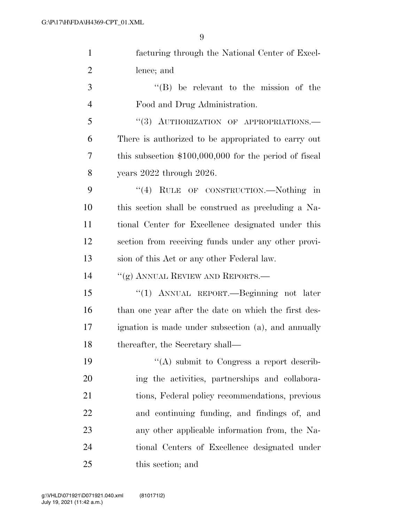| $\mathbf{1}$   | facturing through the National Center of Excel-         |
|----------------|---------------------------------------------------------|
| $\overline{2}$ | lence; and                                              |
| 3              | $\lq\lq$ be relevant to the mission of the              |
| $\overline{4}$ | Food and Drug Administration.                           |
| 5              | "(3) AUTHORIZATION OF APPROPRIATIONS.-                  |
| 6              | There is authorized to be appropriated to carry out     |
| 7              | this subsection $$100,000,000$ for the period of fiscal |
| 8              | years $2022$ through $2026$ .                           |
| 9              | "(4) RULE OF CONSTRUCTION.—Nothing in                   |
| 10             | this section shall be construed as precluding a Na-     |
| 11             | tional Center for Excellence designated under this      |
| 12             | section from receiving funds under any other provi-     |
| 13             | sion of this Act or any other Federal law.              |
| 14             | "(g) ANNUAL REVIEW AND REPORTS.—                        |
| 15             | "(1) ANNUAL REPORT.—Beginning not later                 |
| 16             | than one year after the date on which the first des-    |
| 17             | ignation is made under subsection (a), and annually     |
| 18             | thereafter, the Secretary shall-                        |
| 19             | "(A) submit to Congress a report describ-               |
| <b>20</b>      | ing the activities, partnerships and collabora-         |
| 21             | tions, Federal policy recommendations, previous         |
| 22             | and continuing funding, and findings of, and            |
| 23             | any other applicable information from, the Na-          |
| 24             | tional Centers of Excellence designated under           |
| 25             | this section; and                                       |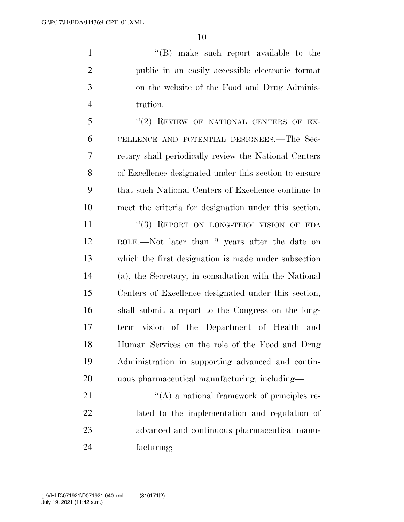''(B) make such report available to the public in an easily accessible electronic format on the website of the Food and Drug Adminis-tration.

5 "(2) REVIEW OF NATIONAL CENTERS OF EX- CELLENCE AND POTENTIAL DESIGNEES.—The Sec- retary shall periodically review the National Centers of Excellence designated under this section to ensure that such National Centers of Excellence continue to meet the criteria for designation under this section.

11 "(3) REPORT ON LONG-TERM VISION OF FDA ROLE.—Not later than 2 years after the date on which the first designation is made under subsection (a), the Secretary, in consultation with the National Centers of Excellence designated under this section, shall submit a report to the Congress on the long- term vision of the Department of Health and Human Services on the role of the Food and Drug Administration in supporting advanced and contin-uous pharmaceutical manufacturing, including—

 $\mathcal{L}(A)$  a national framework of principles re- lated to the implementation and regulation of advanced and continuous pharmaceutical manu-facturing;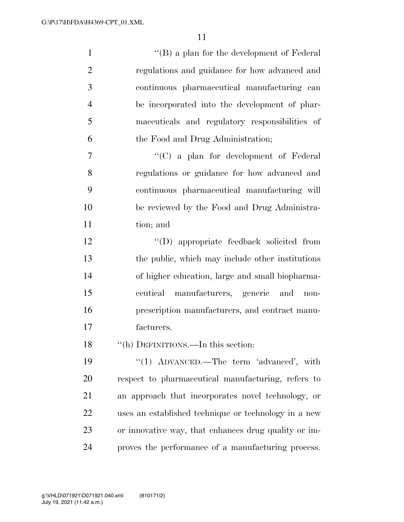| $\mathbf{1}$   | $\lq\lq (B)$ a plan for the development of Federal   |
|----------------|------------------------------------------------------|
| $\overline{2}$ | regulations and guidance for how advanced and        |
| 3              | continuous pharmaceutical manufacturing can          |
| $\overline{4}$ | be incorporated into the development of phar-        |
| 5              | maceuticals and regulatory responsibilities of       |
| 6              | the Food and Drug Administration;                    |
| 7              | $\lq\lq$ (C) a plan for development of Federal       |
| 8              | regulations or guidance for how advanced and         |
| 9              | continuous pharmaceutical manufacturing will         |
| 10             | be reviewed by the Food and Drug Administra-         |
| 11             | tion; and                                            |
| 12             | "(D) appropriate feedback solicited from             |
| 13             | the public, which may include other institutions     |
| 14             | of higher education, large and small biopharma-      |
| 15             | ceutical manufacturers, generic and<br>$non-$        |
| 16             | prescription manufacturers, and contract manu-       |
| 17             | facturers.                                           |
| 18             | "(h) DEFINITIONS.—In this section:                   |
| 19             | "(1) ADVANCED.—The term 'advanced', with             |
| 20             | respect to pharmaceutical manufacturing, refers to   |
| 21             | an approach that incorporates novel technology, or   |
| 22             | uses an established technique or technology in a new |
| 23             | or innovative way, that enhances drug quality or im- |
| 24             | proves the performance of a manufacturing process.   |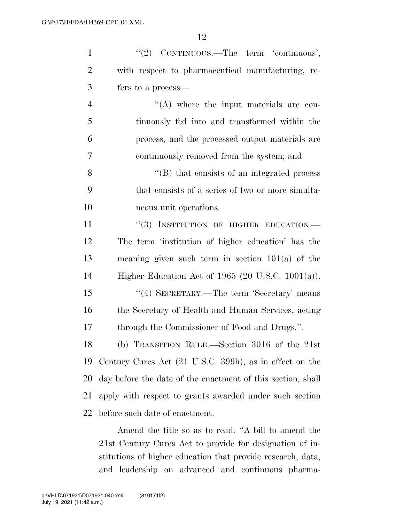| $\mathbf{1}$   | "(2) CONTINUOUS.—The term 'continuous',                     |
|----------------|-------------------------------------------------------------|
| $\overline{2}$ | with respect to pharmaceutical manufacturing, re-           |
| 3              | fers to a process—                                          |
| $\overline{4}$ | $\lq\lq$ where the input materials are con-                 |
| 5              | tinuously fed into and transformed within the               |
| 6              | process, and the processed output materials are             |
| 7              | continuously removed from the system; and                   |
| 8              | $\lq\lq$ that consists of an integrated process             |
| 9              | that consists of a series of two or more simulta-           |
| 10             | neous unit operations.                                      |
| 11             | "(3) INSTITUTION OF HIGHER EDUCATION.-                      |
| 12             | The term 'institution of higher education' has the          |
| 13             | meaning given such term in section $101(a)$ of the          |
| 14             | Higher Education Act of $1965$ (20 U.S.C. 1001(a)).         |
| 15             | "(4) SECRETARY.—The term 'Secretary' means                  |
| 16             | the Secretary of Health and Human Services, acting          |
| 17             | through the Commissioner of Food and Drugs.".               |
| 18             | (b) TRANSITION RULE.—Section 3016 of the 21st               |
| 19             | Century Cures Act (21 U.S.C. 399h), as in effect on the     |
| 20             | day before the date of the enactment of this section, shall |
| 21             | apply with respect to grants awarded under such section     |
| 22             | before such date of enactment.                              |
|                |                                                             |

Amend the title so as to read: ''A bill to amend the 21st Century Cures Act to provide for designation of institutions of higher education that provide research, data, and leadership on advanced and continuous pharma